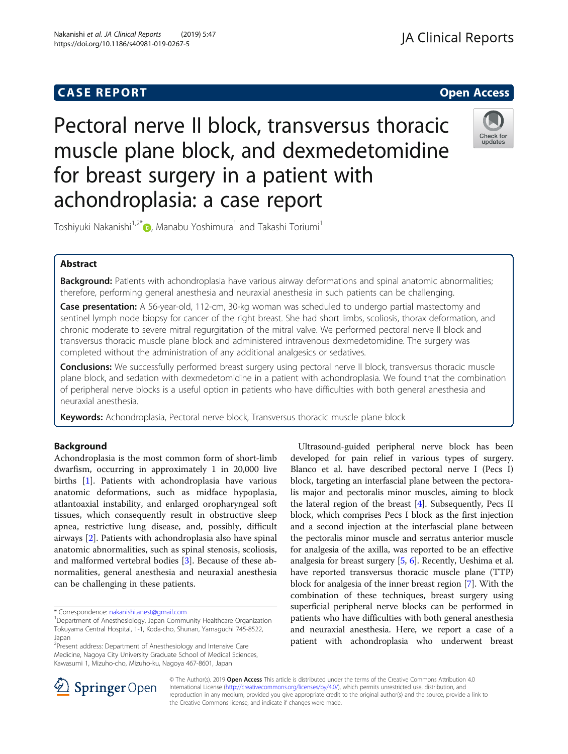# **CASE REPORT CASE REPORT**

# Pectoral nerve II block, transversus thoracic muscle plane block, and dexmedetomidine for breast surgery in a patient with achondroplasia: a case report



Toshiyuki Nakanishi<sup>1[,](http://orcid.org/0000-0003-0328-0629)2\*</sup> , Manabu Yoshimura<sup>1</sup> and Takashi Toriumi<sup>1</sup>

# Abstract

Background: Patients with achondroplasia have various airway deformations and spinal anatomic abnormalities; therefore, performing general anesthesia and neuraxial anesthesia in such patients can be challenging.

Case presentation: A 56-year-old, 112-cm, 30-kg woman was scheduled to undergo partial mastectomy and sentinel lymph node biopsy for cancer of the right breast. She had short limbs, scoliosis, thorax deformation, and chronic moderate to severe mitral regurgitation of the mitral valve. We performed pectoral nerve II block and transversus thoracic muscle plane block and administered intravenous dexmedetomidine. The surgery was completed without the administration of any additional analgesics or sedatives.

**Conclusions:** We successfully performed breast surgery using pectoral nerve II block, transversus thoracic muscle plane block, and sedation with dexmedetomidine in a patient with achondroplasia. We found that the combination of peripheral nerve blocks is a useful option in patients who have difficulties with both general anesthesia and neuraxial anesthesia.

Keywords: Achondroplasia, Pectoral nerve block, Transversus thoracic muscle plane block

# Background

Achondroplasia is the most common form of short-limb dwarfism, occurring in approximately 1 in 20,000 live births [[1\]](#page-3-0). Patients with achondroplasia have various anatomic deformations, such as midface hypoplasia, atlantoaxial instability, and enlarged oropharyngeal soft tissues, which consequently result in obstructive sleep apnea, restrictive lung disease, and, possibly, difficult airways [[2\]](#page-3-0). Patients with achondroplasia also have spinal anatomic abnormalities, such as spinal stenosis, scoliosis, and malformed vertebral bodies [[3](#page-3-0)]. Because of these abnormalities, general anesthesia and neuraxial anesthesia can be challenging in these patients.

<sup>2</sup> Present address: Department of Anesthesiology and Intensive Care Medicine, Nagoya City University Graduate School of Medical Sciences, Kawasumi 1, Mizuho-cho, Mizuho-ku, Nagoya 467-8601, Japan

Ultrasound-guided peripheral nerve block has been developed for pain relief in various types of surgery. Blanco et al. have described pectoral nerve I (Pecs I) block, targeting an interfascial plane between the pectoralis major and pectoralis minor muscles, aiming to block the lateral region of the breast [[4\]](#page-3-0). Subsequently, Pecs II block, which comprises Pecs I block as the first injection and a second injection at the interfascial plane between the pectoralis minor muscle and serratus anterior muscle for analgesia of the axilla, was reported to be an effective analgesia for breast surgery [[5,](#page-3-0) [6](#page-3-0)]. Recently, Ueshima et al. have reported transversus thoracic muscle plane (TTP) block for analgesia of the inner breast region [[7\]](#page-3-0). With the combination of these techniques, breast surgery using superficial peripheral nerve blocks can be performed in patients who have difficulties with both general anesthesia and neuraxial anesthesia. Here, we report a case of a patient with achondroplasia who underwent breast



© The Author(s). 2019 Open Access This article is distributed under the terms of the Creative Commons Attribution 4.0 International License ([http://creativecommons.org/licenses/by/4.0/\)](http://creativecommons.org/licenses/by/4.0/), which permits unrestricted use, distribution, and reproduction in any medium, provided you give appropriate credit to the original author(s) and the source, provide a link to the Creative Commons license, and indicate if changes were made.

<sup>\*</sup> Correspondence: [nakanishi.anest@gmail.com](mailto:nakanishi.anest@gmail.com) <sup>1</sup>

<sup>&</sup>lt;sup>1</sup>Department of Anesthesiology, Japan Community Healthcare Organization Tokuyama Central Hospital, 1-1, Koda-cho, Shunan, Yamaguchi 745-8522, Japan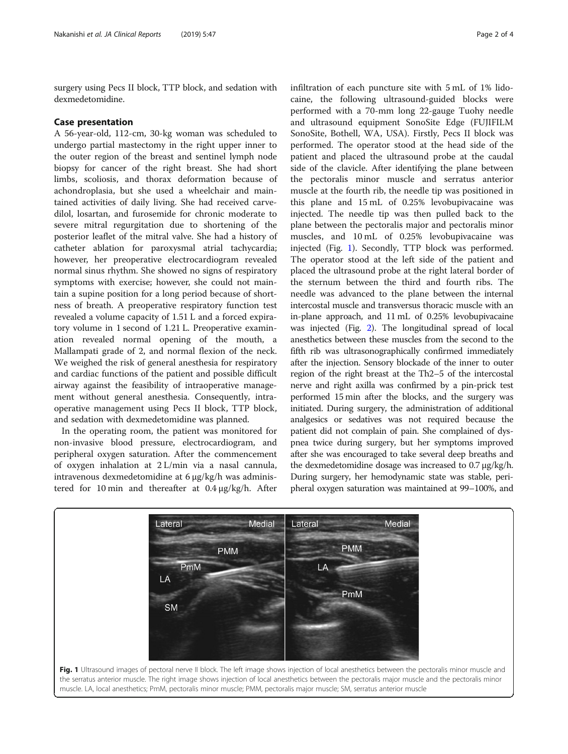surgery using Pecs II block, TTP block, and sedation with dexmedetomidine.

# Case presentation

A 56-year-old, 112-cm, 30-kg woman was scheduled to undergo partial mastectomy in the right upper inner to the outer region of the breast and sentinel lymph node biopsy for cancer of the right breast. She had short limbs, scoliosis, and thorax deformation because of achondroplasia, but she used a wheelchair and maintained activities of daily living. She had received carvedilol, losartan, and furosemide for chronic moderate to severe mitral regurgitation due to shortening of the posterior leaflet of the mitral valve. She had a history of catheter ablation for paroxysmal atrial tachycardia; however, her preoperative electrocardiogram revealed normal sinus rhythm. She showed no signs of respiratory symptoms with exercise; however, she could not maintain a supine position for a long period because of shortness of breath. A preoperative respiratory function test revealed a volume capacity of 1.51 L and a forced expiratory volume in 1 second of 1.21 L. Preoperative examination revealed normal opening of the mouth, a Mallampati grade of 2, and normal flexion of the neck. We weighed the risk of general anesthesia for respiratory and cardiac functions of the patient and possible difficult airway against the feasibility of intraoperative management without general anesthesia. Consequently, intraoperative management using Pecs II block, TTP block, and sedation with dexmedetomidine was planned.

In the operating room, the patient was monitored for non-invasive blood pressure, electrocardiogram, and peripheral oxygen saturation. After the commencement of oxygen inhalation at 2 L/min via a nasal cannula, intravenous dexmedetomidine at 6 μg/kg/h was administered for 10 min and thereafter at 0.4 μg/kg/h. After

infiltration of each puncture site with 5 mL of 1% lidocaine, the following ultrasound-guided blocks were performed with a 70-mm long 22-gauge Tuohy needle and ultrasound equipment SonoSite Edge (FUJIFILM SonoSite, Bothell, WA, USA). Firstly, Pecs II block was performed. The operator stood at the head side of the patient and placed the ultrasound probe at the caudal side of the clavicle. After identifying the plane between the pectoralis minor muscle and serratus anterior muscle at the fourth rib, the needle tip was positioned in this plane and 15 mL of 0.25% levobupivacaine was injected. The needle tip was then pulled back to the plane between the pectoralis major and pectoralis minor muscles, and 10 mL of 0.25% levobupivacaine was injected (Fig. 1). Secondly, TTP block was performed. The operator stood at the left side of the patient and placed the ultrasound probe at the right lateral border of the sternum between the third and fourth ribs. The needle was advanced to the plane between the internal intercostal muscle and transversus thoracic muscle with an in-plane approach, and 11 mL of 0.25% levobupivacaine was injected (Fig. [2\)](#page-2-0). The longitudinal spread of local anesthetics between these muscles from the second to the fifth rib was ultrasonographically confirmed immediately after the injection. Sensory blockade of the inner to outer region of the right breast at the Th2–5 of the intercostal nerve and right axilla was confirmed by a pin-prick test performed 15 min after the blocks, and the surgery was initiated. During surgery, the administration of additional analgesics or sedatives was not required because the patient did not complain of pain. She complained of dyspnea twice during surgery, but her symptoms improved after she was encouraged to take several deep breaths and the dexmedetomidine dosage was increased to 0.7 μg/kg/h. During surgery, her hemodynamic state was stable, peripheral oxygen saturation was maintained at 99–100%, and

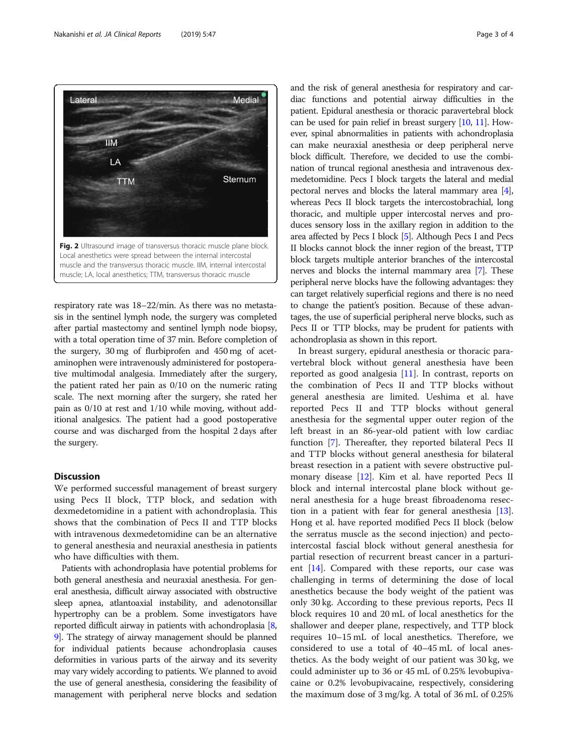<span id="page-2-0"></span>

respiratory rate was 18–22/min. As there was no metastasis in the sentinel lymph node, the surgery was completed after partial mastectomy and sentinel lymph node biopsy, with a total operation time of 37 min. Before completion of the surgery, 30 mg of flurbiprofen and 450 mg of acetaminophen were intravenously administered for postoperative multimodal analgesia. Immediately after the surgery, the patient rated her pain as 0/10 on the numeric rating scale. The next morning after the surgery, she rated her pain as 0/10 at rest and 1/10 while moving, without additional analgesics. The patient had a good postoperative course and was discharged from the hospital 2 days after the surgery.

# **Discussion**

We performed successful management of breast surgery using Pecs II block, TTP block, and sedation with dexmedetomidine in a patient with achondroplasia. This shows that the combination of Pecs II and TTP blocks with intravenous dexmedetomidine can be an alternative to general anesthesia and neuraxial anesthesia in patients who have difficulties with them.

Patients with achondroplasia have potential problems for both general anesthesia and neuraxial anesthesia. For general anesthesia, difficult airway associated with obstructive sleep apnea, atlantoaxial instability, and adenotonsillar hypertrophy can be a problem. Some investigators have reported difficult airway in patients with achondroplasia [[8](#page-3-0), [9](#page-3-0)]. The strategy of airway management should be planned for individual patients because achondroplasia causes deformities in various parts of the airway and its severity may vary widely according to patients. We planned to avoid the use of general anesthesia, considering the feasibility of management with peripheral nerve blocks and sedation and the risk of general anesthesia for respiratory and cardiac functions and potential airway difficulties in the patient. Epidural anesthesia or thoracic paravertebral block can be used for pain relief in breast surgery [\[10](#page-3-0), [11\]](#page-3-0). However, spinal abnormalities in patients with achondroplasia can make neuraxial anesthesia or deep peripheral nerve block difficult. Therefore, we decided to use the combination of truncal regional anesthesia and intravenous dexmedetomidine. Pecs I block targets the lateral and medial pectoral nerves and blocks the lateral mammary area [[4](#page-3-0)], whereas Pecs II block targets the intercostobrachial, long thoracic, and multiple upper intercostal nerves and produces sensory loss in the axillary region in addition to the area affected by Pecs I block [[5](#page-3-0)]. Although Pecs I and Pecs II blocks cannot block the inner region of the breast, TTP block targets multiple anterior branches of the intercostal nerves and blocks the internal mammary area [\[7\]](#page-3-0). These peripheral nerve blocks have the following advantages: they can target relatively superficial regions and there is no need to change the patient's position. Because of these advantages, the use of superficial peripheral nerve blocks, such as Pecs II or TTP blocks, may be prudent for patients with achondroplasia as shown in this report.

In breast surgery, epidural anesthesia or thoracic paravertebral block without general anesthesia have been reported as good analgesia  $[11]$  $[11]$ . In contrast, reports on the combination of Pecs II and TTP blocks without general anesthesia are limited. Ueshima et al. have reported Pecs II and TTP blocks without general anesthesia for the segmental upper outer region of the left breast in an 86-year-old patient with low cardiac function [[7\]](#page-3-0). Thereafter, they reported bilateral Pecs II and TTP blocks without general anesthesia for bilateral breast resection in a patient with severe obstructive pulmonary disease [\[12](#page-3-0)]. Kim et al. have reported Pecs II block and internal intercostal plane block without general anesthesia for a huge breast fibroadenoma resection in a patient with fear for general anesthesia [\[13](#page-3-0)]. Hong et al. have reported modified Pecs II block (below the serratus muscle as the second injection) and pectointercostal fascial block without general anesthesia for partial resection of recurrent breast cancer in a parturient [\[14](#page-3-0)]. Compared with these reports, our case was challenging in terms of determining the dose of local anesthetics because the body weight of the patient was only 30 kg. According to these previous reports, Pecs II block requires 10 and 20 mL of local anesthetics for the shallower and deeper plane, respectively, and TTP block requires 10–15 mL of local anesthetics. Therefore, we considered to use a total of 40–45 mL of local anesthetics. As the body weight of our patient was 30 kg, we could administer up to 36 or 45 mL of 0.25% levobupivacaine or 0.2% levobupivacaine, respectively, considering the maximum dose of 3 mg/kg. A total of 36 mL of 0.25%